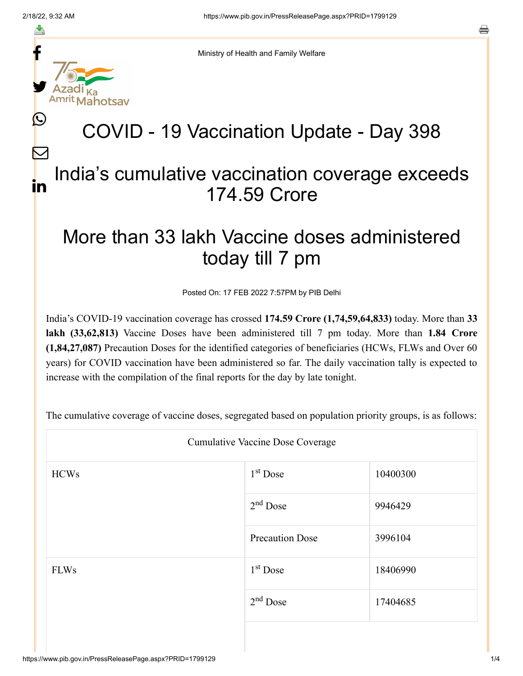≛

L

 $\bm{\nabla}$ 



Ministry of Health and Family Welfare

## COVID - 19 Vaccination Update - Day 398

## India's cumulative vaccination coverage exceeds 174.59 Crore in

## More than 33 lakh Vaccine doses administered today till 7 pm

Posted On: 17 FEB 2022 7:57PM by PIB Delhi

India's COVID-19 vaccination coverage has crossed **174.59 Crore (1,74,59,64,833)** today. More than **33 lakh (33,62,813)** Vaccine Doses have been administered till 7 pm today. More than **1.84 Crore (1,84,27,087)** Precaution Doses for the identified categories of beneficiaries (HCWs, FLWs and Over 60 years) for COVID vaccination have been administered so far. The daily vaccination tally is expected to increase with the compilation of the final reports for the day by late tonight.

The cumulative coverage of vaccine doses, segregated based on population priority groups, is as follows:

| Cumulative Vaccine Dose Coverage |                        |          |  |  |
|----------------------------------|------------------------|----------|--|--|
| <b>HCWs</b>                      | 1 <sup>st</sup> Dose   | 10400300 |  |  |
|                                  | $2nd$ Dose             | 9946429  |  |  |
|                                  | <b>Precaution Dose</b> | 3996104  |  |  |
| <b>FLWs</b>                      | 1 <sup>st</sup> Dose   | 18406990 |  |  |
|                                  | $2nd$ Dose             | 17404685 |  |  |
|                                  |                        |          |  |  |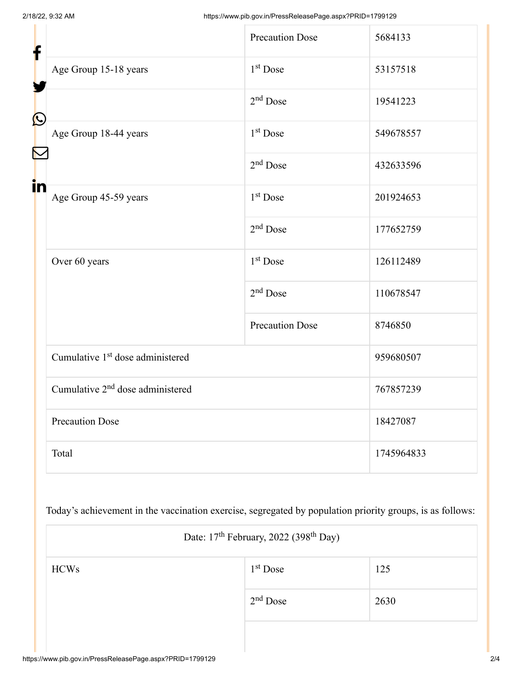| f            |                                              | <b>Precaution Dose</b> | 5684133    |
|--------------|----------------------------------------------|------------------------|------------|
|              | Age Group 15-18 years                        | 1 <sup>st</sup> Dose   | 53157518   |
| $\bf \Omega$ |                                              | $2nd$ Dose             | 19541223   |
|              | Age Group 18-44 years                        | 1 <sup>st</sup> Dose   | 549678557  |
|              |                                              | $2nd$ Dose             | 432633596  |
| in           | Age Group 45-59 years                        | 1 <sup>st</sup> Dose   | 201924653  |
|              |                                              | 2 <sup>nd</sup> Dose   | 177652759  |
|              | Over 60 years                                | 1 <sup>st</sup> Dose   | 126112489  |
|              |                                              | 2 <sup>nd</sup> Dose   | 110678547  |
|              |                                              | <b>Precaution Dose</b> | 8746850    |
|              | Cumulative 1 <sup>st</sup> dose administered |                        | 959680507  |
|              | Cumulative 2 <sup>nd</sup> dose administered |                        | 767857239  |
|              | <b>Precaution Dose</b>                       |                        | 18427087   |
|              | Total                                        |                        | 1745964833 |

Today's achievement in the vaccination exercise, segregated by population priority groups, is as follows:

| Date: 17 <sup>th</sup> February, 2022 (398 <sup>th</sup> Day) |            |      |  |  |
|---------------------------------------------------------------|------------|------|--|--|
| <b>HCWs</b>                                                   | $1st$ Dose | 125  |  |  |
|                                                               | $2nd$ Dose | 2630 |  |  |
|                                                               |            |      |  |  |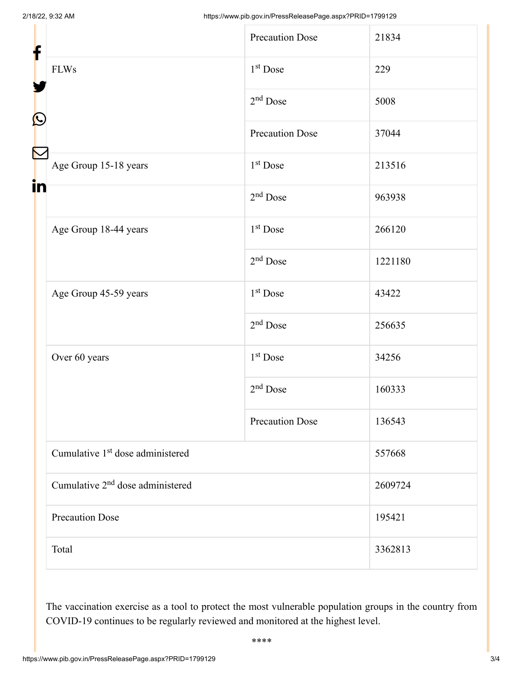| f<br>$\bigcirc$      |                                              | <b>Precaution Dose</b> | 21834   |
|----------------------|----------------------------------------------|------------------------|---------|
|                      | <b>FLWs</b>                                  | 1 <sup>st</sup> Dose   | 229     |
|                      |                                              | $2nd$ Dose             | 5008    |
|                      |                                              | <b>Precaution Dose</b> | 37044   |
| $\blacktriangledown$ | Age Group 15-18 years                        | $1st$ Dose             | 213516  |
| i <mark>n</mark>     |                                              | 2 <sup>nd</sup> Dose   | 963938  |
|                      | Age Group 18-44 years                        | 1 <sup>st</sup> Dose   | 266120  |
|                      |                                              | $2nd$ Dose             | 1221180 |
|                      | Age Group 45-59 years                        | 1 <sup>st</sup> Dose   | 43422   |
|                      |                                              | $2nd$ Dose             | 256635  |
|                      | Over 60 years                                | 1 <sup>st</sup> Dose   | 34256   |
|                      |                                              | $2nd$ Dose             | 160333  |
|                      |                                              | <b>Precaution Dose</b> | 136543  |
|                      | Cumulative 1 <sup>st</sup> dose administered |                        | 557668  |
|                      | Cumulative 2 <sup>nd</sup> dose administered |                        | 2609724 |
|                      | <b>Precaution Dose</b>                       |                        | 195421  |
|                      | Total                                        |                        | 3362813 |

The vaccination exercise as a tool to protect the most vulnerable population groups in the country from COVID-19 continues to be regularly reviewed and monitored at the highest level.